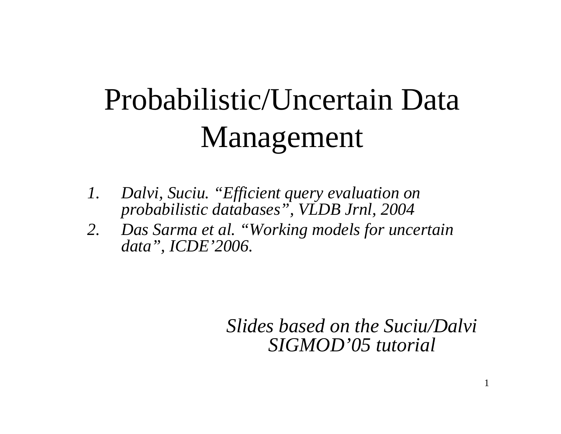# Probabilistic/Uncertain Data Management

- *1. Dalvi, Suciu. "Efficient query evaluation on probabilistic databases", VLDB Jrnl, 2004*
- *2. Das Sarma et al. "Working models for uncertain data", ICDE'2006.*

*Slides based on the Suciu/Dalvi SIGMOD'05 tutorial*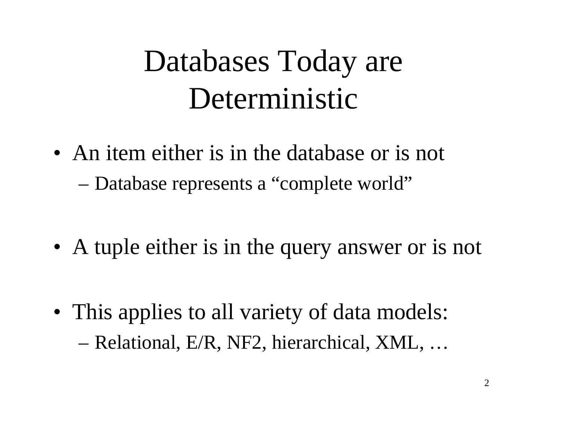### Databases Today are Deterministic

- An item either is in the database or is not –Database represents <sup>a</sup> "complete world"
- A tuple either is in the query answer or is not
- This applies to all variety of data models: –Relational, E/R, NF2, hierarchical, XML, …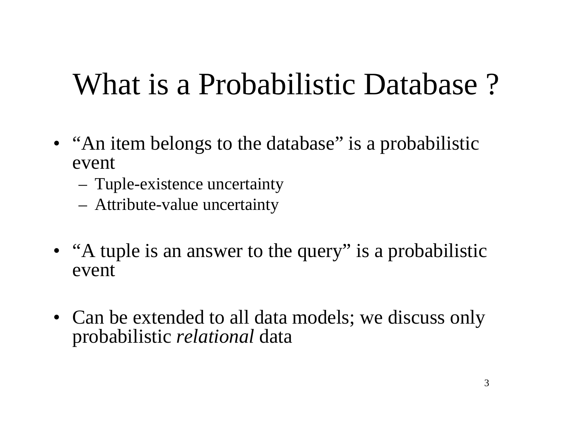### What is <sup>a</sup> Probabilistic Database ?

- "An item belongs to the database" is a probabilistic event
	- Tuple-existence uncertainty
	- Attribute-value uncertainty
- "A tuple is an answer to the query" is a probabilistic event
- Can be extended to all data models; we discuss only probabilistic *relational* data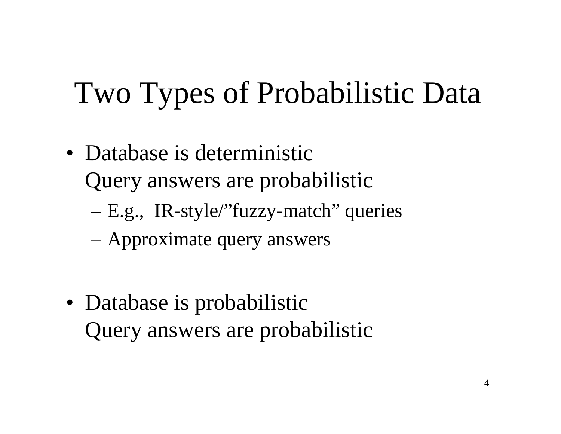### Two Types of Probabilistic Data

- Database is deterministic Query answers are probabilistic
	- –E.g., IR-style/"fuzzy-match" queries
	- –Approximate query answers
- Database is probabilistic Query answers are probabilistic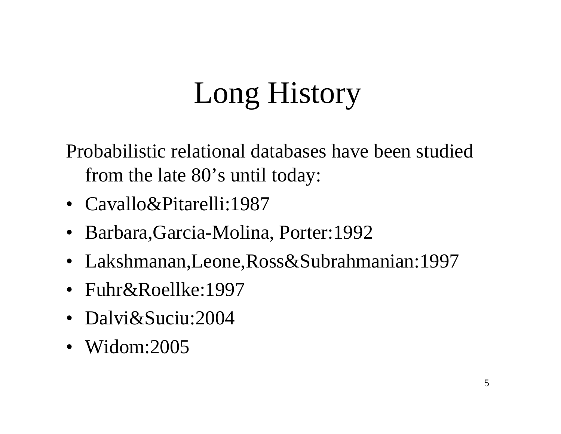# Long History

Probabilistic relational databases have been studied from the late 80's until today:

- Cavallo&Pitarelli:1987
- Barbara,Garcia-Molina, Porter:1992
- Lakshmanan,Leone,Ross&Subrahmanian:1997
- Fuhr&Roellke:1997
- Dalvi&Suciu:2004
- Widom:2005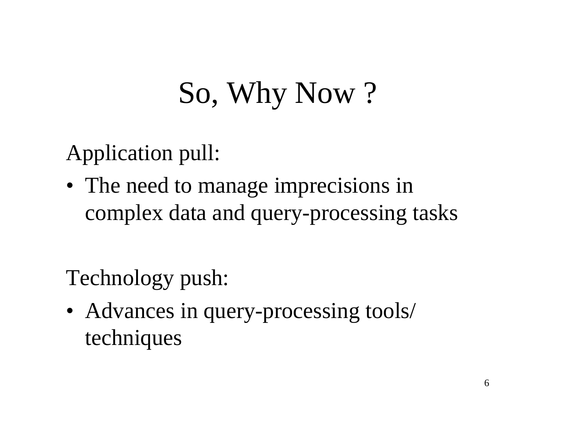# So, Why Now ?

Application pull:

• The need to manage imprecisions in complex data and query-processing tasks

Technology push:

• Advances in query-processing tools/ techniques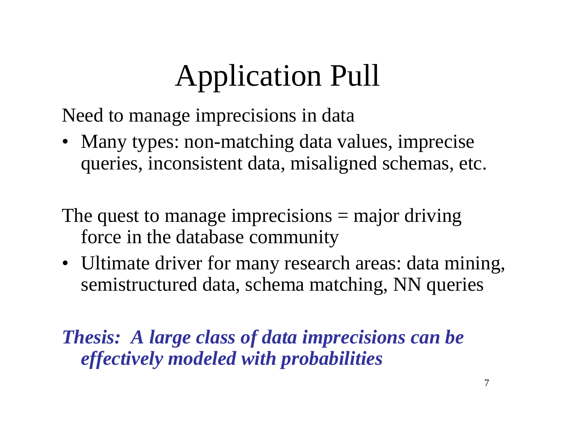# Application Pull

Need to manage imprecisions in data

• Many types: non-matching data values, imprecise queries, inconsistent data, misaligned schemas, etc.

The quest to manage imprecisions = major driving force in the database community

• Ultimate driver for many research areas: data mining, semistructured data, schema matching, NN queries

*Thesis: A large class of data imprecisions can be effectively modeled with probabilities*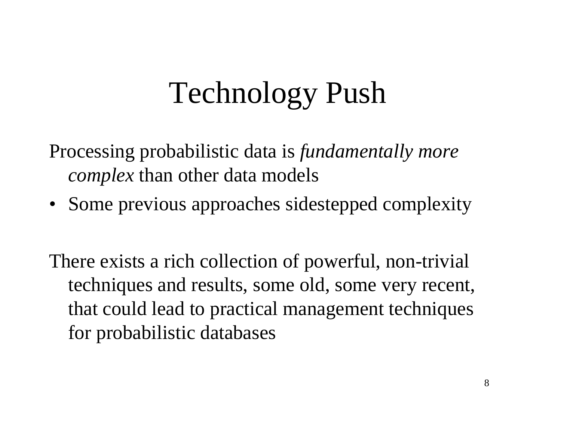## Technology Push

Processing probabilistic data is *fundamentally more complex* than other data models

• Some previous approaches sidestepped complexity

There exists <sup>a</sup> rich collection of powerful, non-trivial techniques and results, some old, some very recent, that could lead to practical managemen<sup>t</sup> techniques for probabilistic databases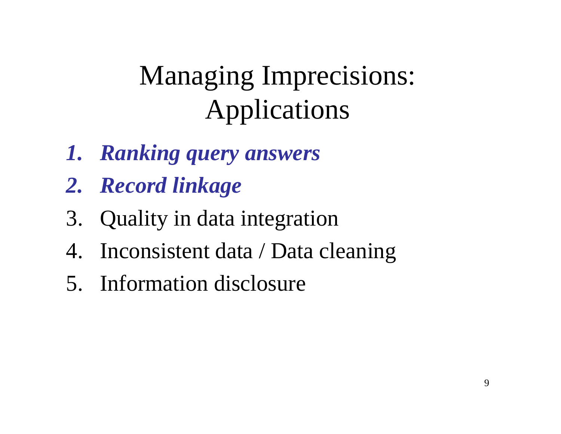### Managing Imprecisions: Applications

- *1. Ranking query answers*
- *2. Record linkage*
- 3. Quality in data integration
- 4. Inconsistent data / Data cleaning
- 5. Information disclosure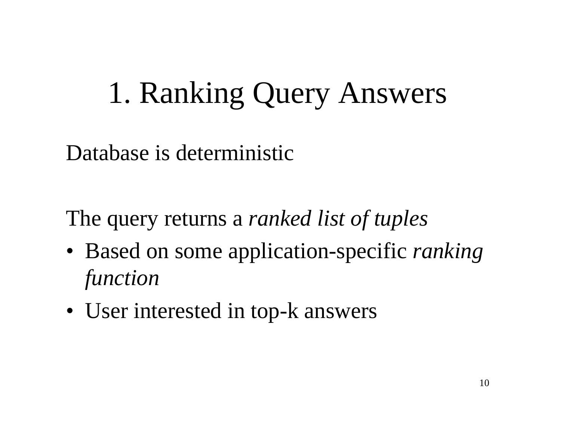### 1. Ranking Query Answers

Database is deterministic

The query returns <sup>a</sup> *ranked list of tuples*

- Based on some application-specific *ranking function*
- User interested in top-k answers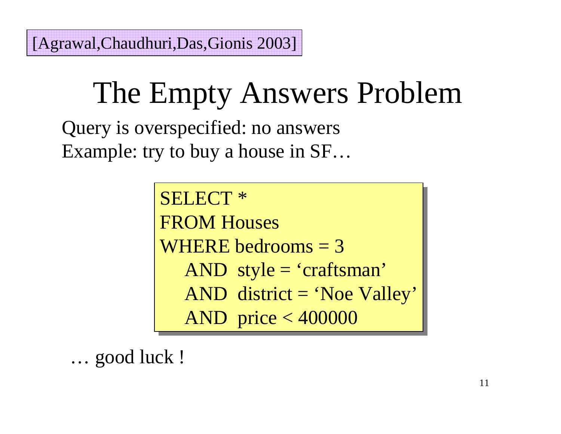### The Empty Answers Problem

Query is overspecified: no answers Example: try to buy <sup>a</sup> house in SF…

> SELECT \* SELECT \* FROM Houses FROM Houses WHERE bedrooms  $=$  3 AND style <sup>=</sup> 'craftsman' AND style <sup>=</sup> 'craftsman' AND district <sup>=</sup> 'Noe Valley' AND district <sup>=</sup> 'Noe Valley' AND price <sup>&</sup>lt; 400000 AND price <sup>&</sup>lt; 400000

… good luck !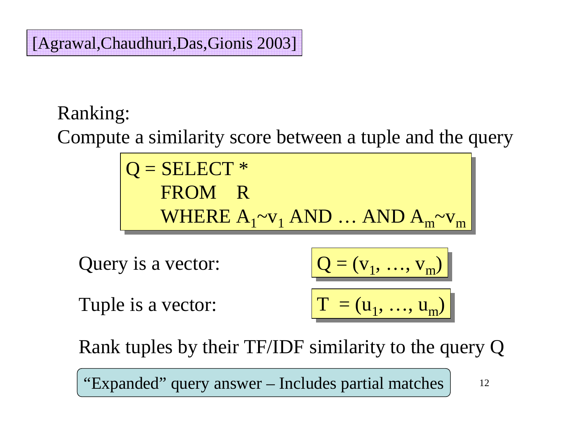#### [Agrawal,Chaudhuri,Das,Gionis 2003]

#### Ranking:

Compute <sup>a</sup> similarity score between <sup>a</sup> tuple and the query

 $Q = SELECT *$ FROM R FROM R WHERE  $A_1$ ~ $v_1$  AND … AND  $A_m$ ~ $v_m$ 

Query is <sup>a</sup> vector:

 $Q = (v_1, ..., v_m)$ 

Tuple is <sup>a</sup> vector:

 $T = (u_1, ..., u_m)$ 

Rank tuples by their TF/IDF similarity to the query Q

"Expanded" query answer – Includes partial matches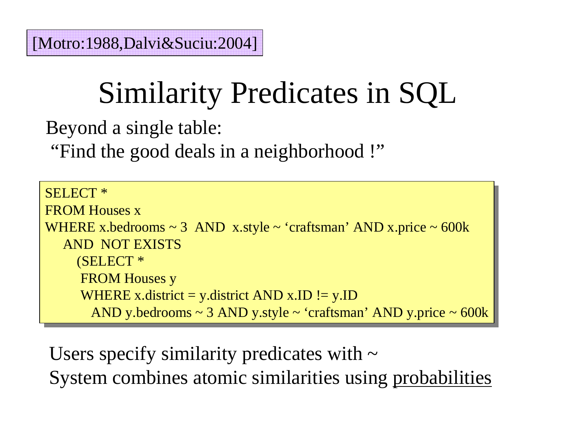# Similarity Predicates in SQL

Beyond <sup>a</sup> single table:

"Find the good deals in <sup>a</sup> neighborhood !"

```
SELECT *
SELECT *
FROM Houses x
FROM Houses x
WHERE x.bedrooms ~ 3 AND x.style ~ 'craftsman' AND x.price ~ 600k
WHERE x.bedrooms ~ 3 AND x.style ~ 'craftsman' AND x.price ~ 600k
    AND NOT EXISTS
AND NOT EXISTS
        (SELECT *
(SELECT *
         FROM Houses y
FROM Houses y
         WHERE x.district = y.district AND x.ID != y.ID
            AND y.bedrooms ~ 3 AND y.style ~ 'craftsman' AND y.price ~ 600k
AND y.bedrooms ~ 3 AND y.style ~ 'craftsman' AND y.price ~ 600k
```
System combines atomic similarities using probabilities Users specify similarity predicates with  $\sim$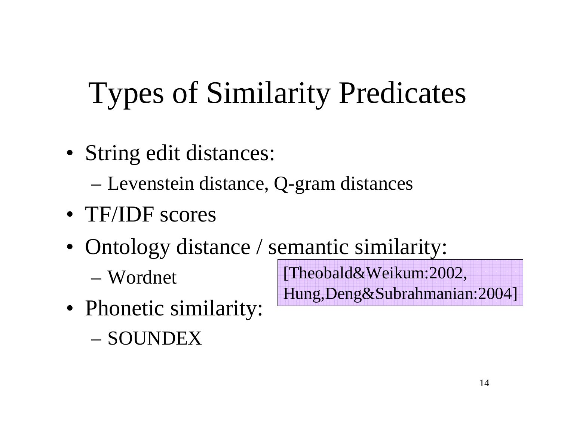# Types of Similarity Predicates

• String edit distances:

–Levenstein distance, Q-gram distances

- TF/IDF scores
- Ontology distance / semantic similarity:
	- Wordnet

[Theobald&Weikum:2002, Hung,Deng&Subrahmanian:2004]

- Phonetic similarity:
	- SOUNDEX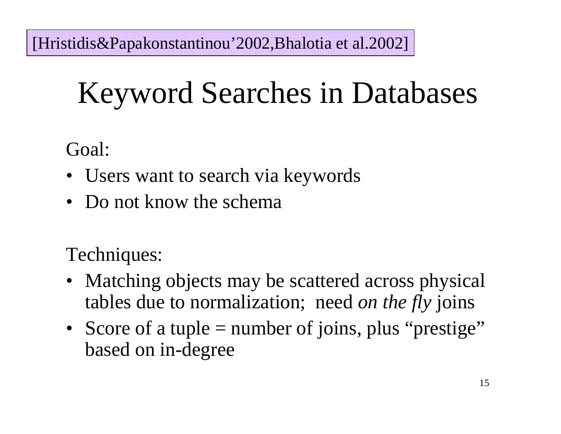[Hristidis&Papakonstantinou'2002,Bhalotia et al.2002]

# Keyword Searches in Databases

Goal:

- Users want to search via keywords
- Do not know the schema

Techniques:

- Matching objects may be scattered across physical tables due to normalization; need *on the fly* joins
- Score of a tuple = number of joins, plus "prestige" based on in-degree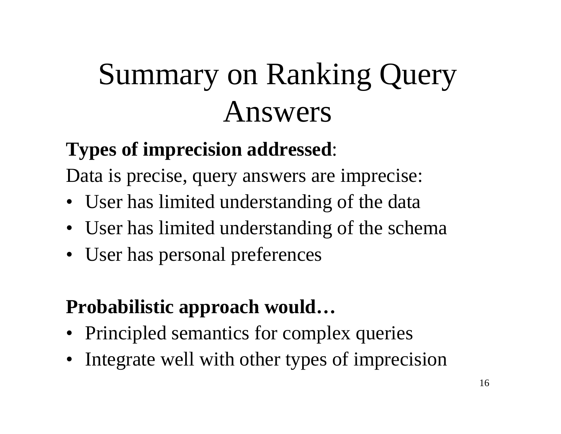# Summary on Ranking Query Answers

#### **Types of imprecision addressed**:

Data is precise, query answers are imprecise:

- User has limited understanding of the data
- User has limited understanding of the schema
- User has personal preferences

#### **Probabilistic approach would…**

- Principled semantics for complex queries
- Integrate well with other types of imprecision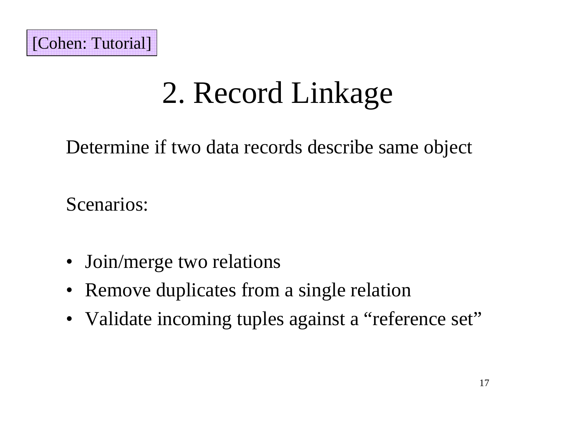# 2. Record Linkage

Determine if two data records describe same object

Scenarios:

- Join/merge two relations
- Remove duplicates from a single relation
- Validate incoming tuples against a "reference set"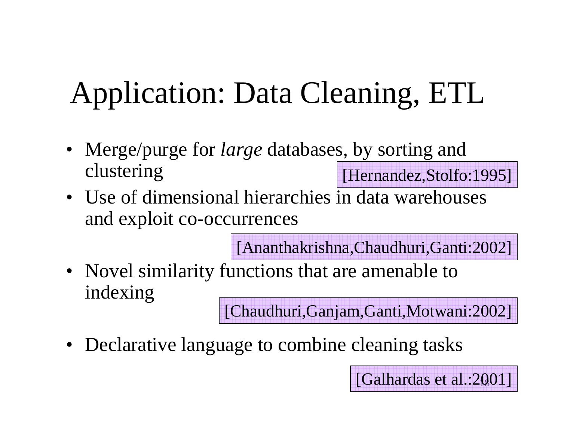# Application: Data Cleaning, ETL

- Merge/purge for *large* databases, by sorting and clustering [Hernandez, Stolfo: 1995]
- Use of dimensional hierarchies in data warehouses and exploit co-occurrences

[Ananthakrishna,Chaudhuri,Ganti:2002]

• Novel similarity functions that are amenable to indexing

[Chaudhuri,Ganjam,Ganti,Motwani:2002]

18[Galhardas et al.:2001]

• Declarative language to combine cleaning tasks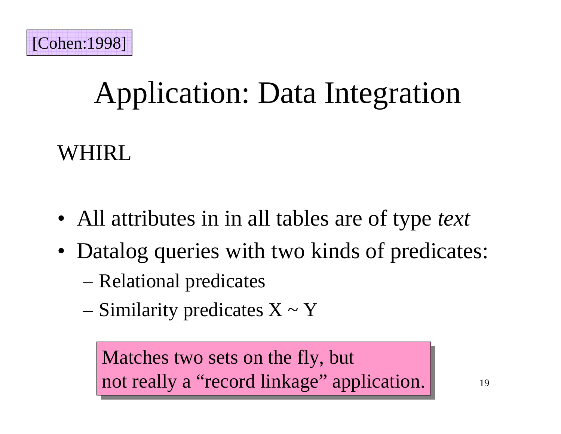

# Application: Data Integration

WHIRL

- All attributes in in all tables are of type *text*
- Datalog queries with two kinds of predicates:
	- –Relational predicates
	- – $-$  Similarity predicates  $X \sim Y$

Matches two sets on the fly, but Matches two sets on the fly, but not really <sup>a</sup> "record linkage" application. not really <sup>a</sup> "record linkage" application.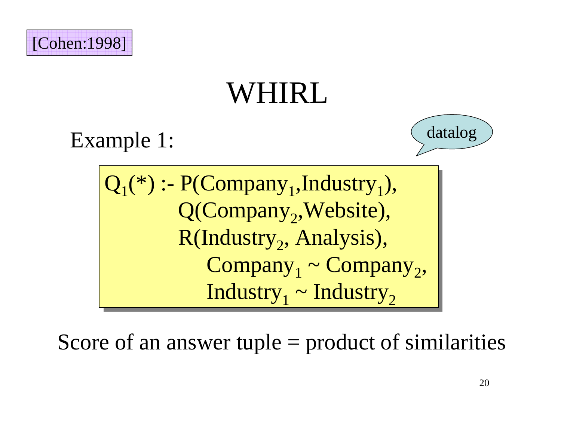

### WHIRL.





 $Q_1^{\ast}$  :- P(Company<sub>1</sub>,Industry<sub>1</sub>), Q(Company<sub>2</sub>,Website), R(Industry<sub>2</sub>, Analysis),  $\text{Company}_1 \sim \text{Company}_2,$  $\rm{Industry}_{1}$  ~  $\rm{Industry}_{2}$ 

Score of an answer tuple <sup>=</sup> product of similarities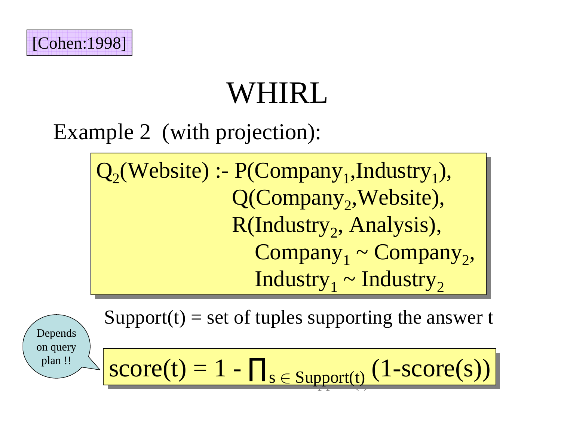

# WHIRL

### Example 2 (with projection):

 $Q_2$ (Website) :- P(Company<sub>1</sub>,Industry<sub>1</sub>), Q(Company<sub>2</sub>,Website), R(Industry<sub>2</sub>, Analysis),  $\text{ Company}_1 \sim \text{ Company}_2$ ,  $\rm{Industry}_{1}$  ~  $\rm{Industry}_{2}$ 

Support(t) <sup>=</sup> set of tuples supporting the answer <sup>t</sup>

Depends on query plan !!

$$
score(t) = 1 - \prod_{s \in Support(t)} (1-score(s))
$$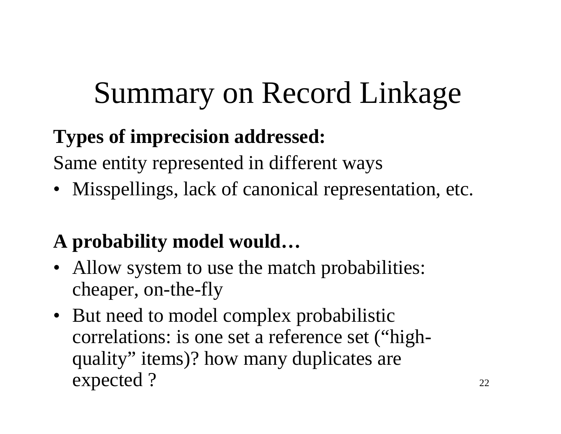# Summary on Record Linkage

#### **Types of imprecision addressed:**

Same entity represented in different ways

• Misspellings, lack of canonical representation, etc.

#### **A probability model would…**

- Allow system to use the match probabilities: cheaper, on-the-fly
- But need to model complex probabilistic correlations: is one set <sup>a</sup> reference set ("highquality" items)? how many duplicates are expected ?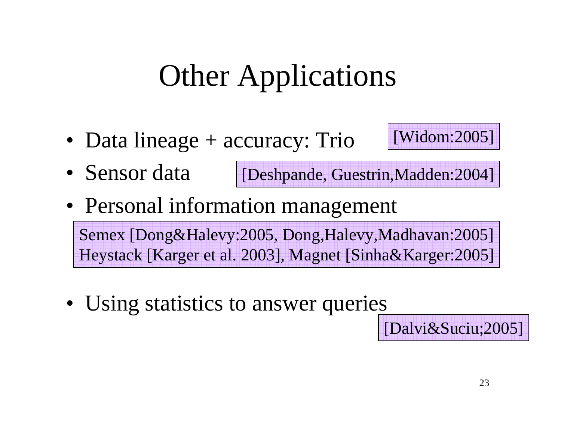# Other Applications

• Data lineage + accuracy: Trio



- Sensor data[Deshpande, Guestrin,Madden:2004]
- Personal information management

Semex [Dong&Halevy:2005, Dong,Halevy,Madhavan:2005] Heystack [Karger et al. 2003], Magnet [Sinha&Karger:2005]

• Using statistics to answer queries

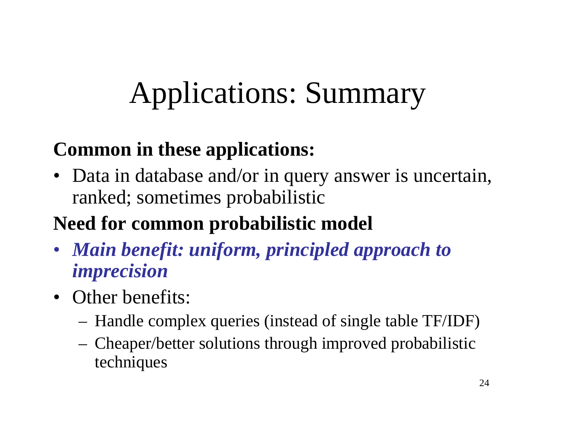# Applications: Summary

#### **Common in these applications:**

• Data in database and/or in query answer is uncertain, ranked; sometimes probabilistic

#### **Need for common probabilistic model**

- *Main benefit: uniform, principled approach to imprecision*
- Other benefits:
	- Handle complex queries (instead of single table TF/IDF)
	- Cheaper/better solutions through improved probabilistic techniques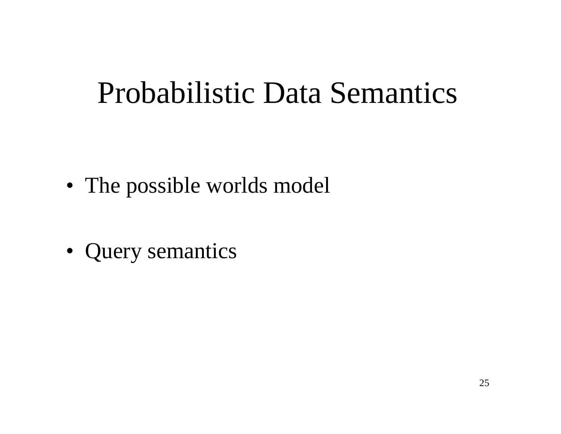### Probabilistic Data Semantics

- The possible worlds model
- Query semantics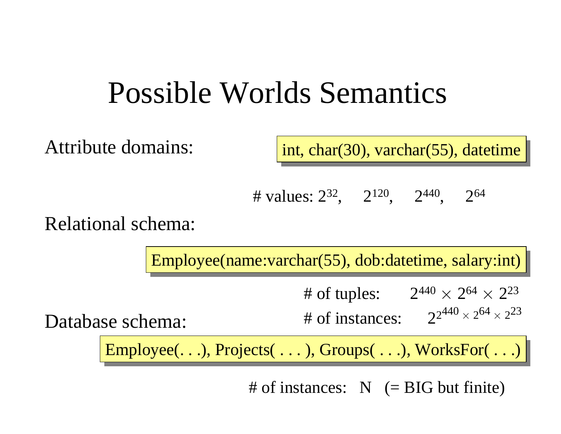### Possible Worlds Semantics

Attribute domains:

int, char(30), varchar(55), datetime

# values:  $2^{32}$ ,  $2^{120}$ ,  $2^{440}$ ,  $2^{64}$ 

Relational schema:

Employee(name:varchar(55), dob:datetime, salary:int)

# of tuples:  $2^{440}$   $\times$  $\times 2^{64} \times 2^{23}$ 

Database schema:

# of instances:  $2^{2^{440} \times}$ 

 $\times$  2<sup>64</sup>  $\times$  2<sup>23</sup>

 $Emplogee(...)$ ,  $Projects( ...)$ ,  $Groups( ...)$ , WorksFor( . . .)

# of instances: N (= BIG but finite)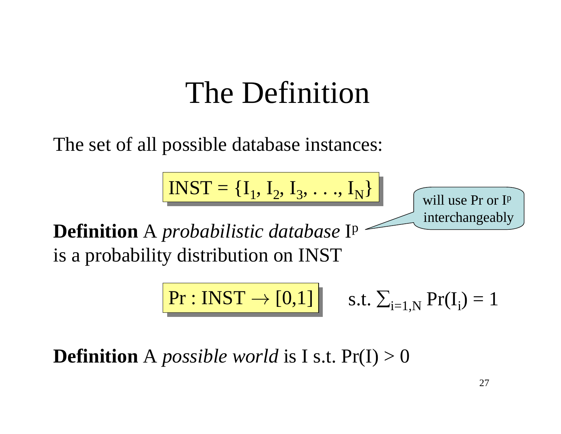### The Definition

The set of all possible database instances:

 $$ 

will use Pr or Ip interchangeably

**Definition** A *probabilistic database* Ip is a probability distribution on INST

$$
Pr: INST \rightarrow [0,1] \qquad s.t. \ \Sigma_{i=1,N} Pr(I_i) = 1
$$

**Definition** A *possible world* is I s.t. Pr(I) <sup>&</sup>gt; 0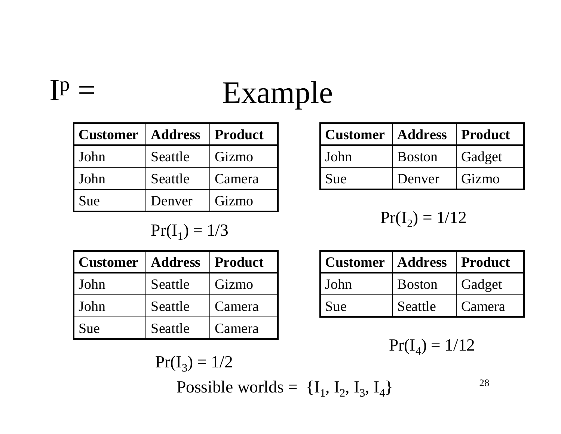# Example

| <b>Customer</b> | <b>Address</b> | <b>Product</b> |
|-----------------|----------------|----------------|
| John            | Seattle        | Gizmo          |
| John            | Seattle        | Camera         |
| Sue             | Denver         | Gizmo          |

 $I^p =$ 

 $Pr(I_1) = 1/3$ 

| Customer | <b>Address</b> | <b>Product</b> |
|----------|----------------|----------------|
| l John   | Seattle        | Gizmo          |
| l John   | Seattle        | Camera         |
| l Sue    | Seattle        | Camera         |

Sue Denver GizmoJohn Boston Gadget **CustomerAddress Product**

$$
Pr(I_2) = 1/12
$$

| l Customer | <b>Address</b> | Product |
|------------|----------------|---------|
| l John     | <b>Boston</b>  | Gadget  |
| Sue        | Seattle        | Camera  |

 $Pr(I_4) = 1/12$ 

$$
Pr(I_3) = 1/2
$$

Possible worlds =  $\{I_1, I_2, I_3, I_4\}$ 

28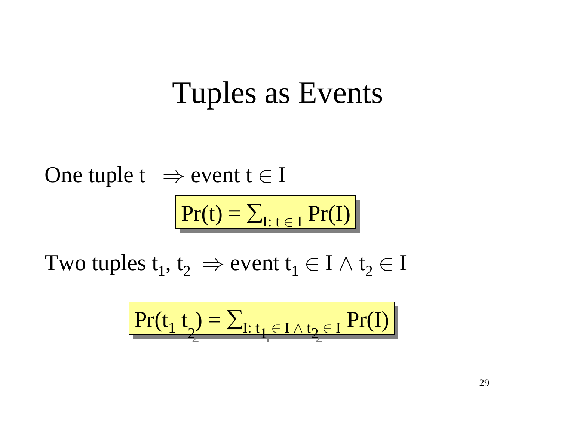### Tuples as Events

One tuple t  $\;\Rightarrow$  event t  $\in$  I  $Pr(t) = \sum_{I: t \in I} Pr(I)$ 

Two tuples  $\mathrm{t}_1^{},\,\mathrm{t}_2^{}~\Rightarrow$  event  $\mathrm{t}_1^{} \in \mathrm{I} \wedge \mathrm{t}_2^{} \in \mathrm{I}$ 

$$
\boxed{\Pr(t_1 \ t_2) = \sum_{I: t_1 \in I \land t_2 \in I} \Pr(I)}
$$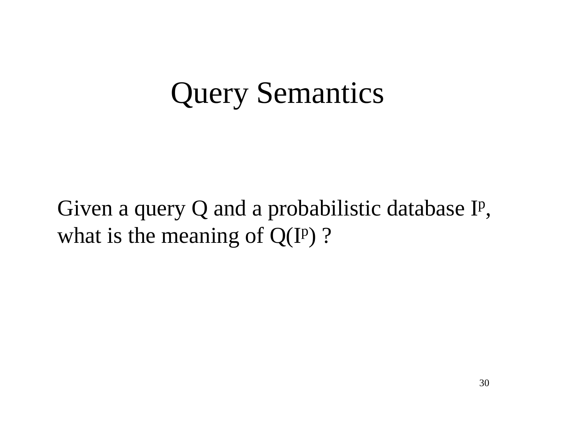### Query Semantics

Given <sup>a</sup> query Q and <sup>a</sup> probabilistic database Ip, what is the meaning of  $Q(I^p)$  ?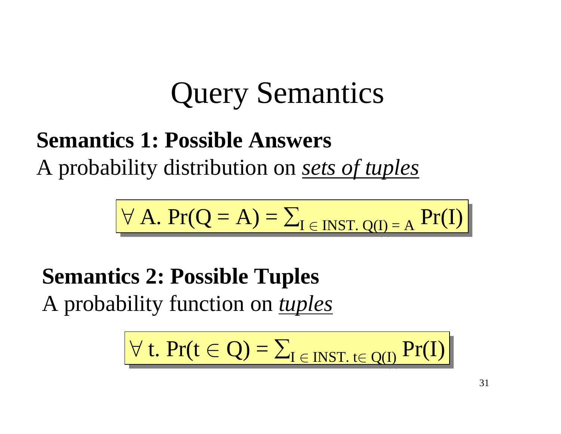### Query Semantics

### **Semantics 1: Possible Answers** A probability distribution on *sets of tuples*

$$
\forall A. \; Pr(Q = A) = \sum_{I \in \text{INT. Q(I)} = A} Pr(I)
$$

**Semantics 2: Possible Tuples** A probability function on *tuples*

$$
\forall t. \Pr(t \in Q) = \sum_{I \in INST. t \in Q(I)} Pr(I)
$$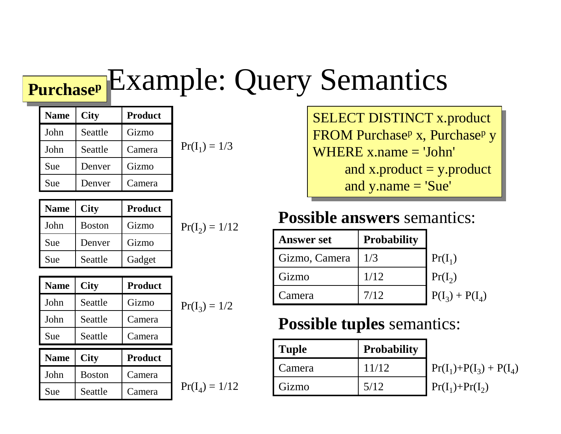#### E x a m p le: Quer y Semantics **Purchase<sup>p</sup>**

| <b>Name</b> | <b>City</b> | <b>Product</b> |                 |
|-------------|-------------|----------------|-----------------|
| John        | Seattle     | Gizmo          |                 |
| John        | Seattle     | Camera         | $Pr(I_1) = 1/3$ |
| Sue         | Denver      | Gizmo          |                 |
| Sue         | Denver      | Camera         |                 |

| <b>Name</b> | <b>City</b>   | <b>Product</b> |  |
|-------------|---------------|----------------|--|
| John        | <b>Boston</b> | Gizmo          |  |
| Sue         | Denver        | Gizmo          |  |
| Sue         | Seattle       | Gadget         |  |

 $Pr(I_2) = 1/12$ 

| <b>Name</b> | <b>City</b>   | <b>Product</b> |                  |
|-------------|---------------|----------------|------------------|
| John        | Seattle       | Gizmo          | $Pr(I_3) = 1/2$  |
| John        | Seattle       | Camera         |                  |
| Sue         | Seattle       | Camera         |                  |
| <b>Name</b> | <b>City</b>   | <b>Product</b> |                  |
| John        | <b>Boston</b> | Camera         |                  |
| Sue         | Seattle       | Camera         | $Pr(I_4) = 1/12$ |

$$
Pr(I_3) = 1/2
$$

SELECT DISTINCT x.product KUN Purchase<sup>p</sup> X, Purchase<sup>p</sup> y  $WHERE x.name = 'John'$ and x.product = y.product and  $y.name = 'Sue'$ FROM Purchase<sup>p</sup> x, Purchase<sup>p</sup> y

#### **Possible answers semantics:**

| <b>Answer set</b> | <b>Probability</b> |                   |
|-------------------|--------------------|-------------------|
| Gizmo, Camera     | 1/3                | $Pr(I_1)$         |
| Gizmo             | 1/12               | $Pr(I_2)$         |
| Camera            | 7/12               | $P(I_3) + P(I_4)$ |

#### **Possible tuples** semantics:

| <b>Tuple</b> | <b>Probability</b> |                              |
|--------------|--------------------|------------------------------|
| Camera       | 11/12              | $\Pr(I_1) + P(I_3) + P(I_4)$ |
| Gizmo        | 5/12               | $\Pr(I_1)+\Pr(I_2)$          |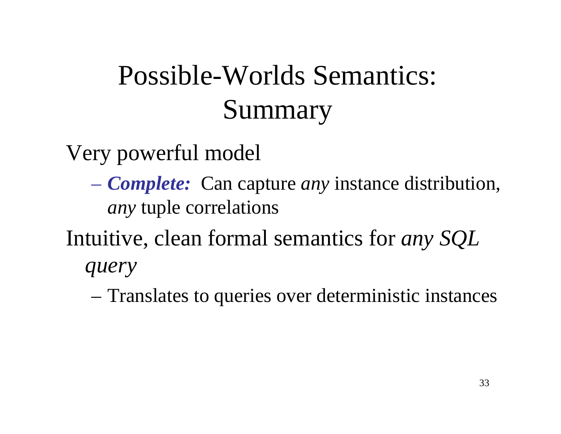### Possible-Worlds Semantics: Summary

Very powerful model

- *Complete:* Can capture *any* instance distribution, *any* tuple correlations
- Intuitive, clean formal semantics for *any SQL query*
	- –Translates to queries over deterministic instances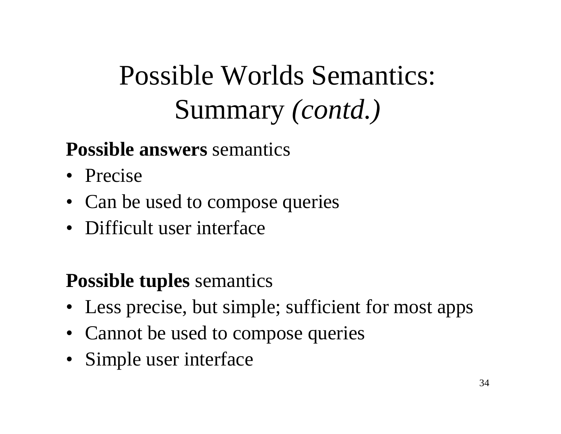### Possible Worlds Semantics: Summary *(contd.)*

#### **Possible answers** semantics

- Precise
- Can be used to compose queries
- Difficult user interface

#### **Possible tuples** semantics

- Less precise, but simple; sufficient for most apps
- Cannot be used to compose queries
- Simple user interface